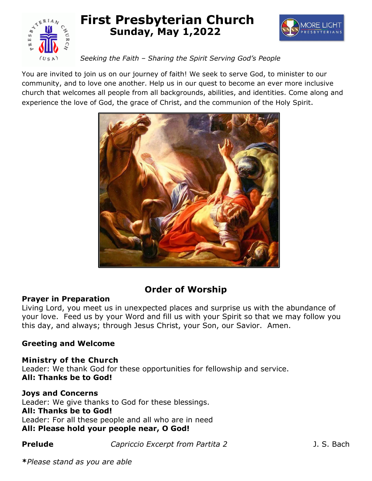

## **First Presbyterian Church Sunday, May 1,2022**



#### *Seeking the Faith – Sharing the Spirit Serving God's People*

You are invited to join us on our journey of faith! We seek to serve God, to minister to our community, and to love one another. Help us in our quest to become an ever more inclusive church that welcomes all people from all backgrounds, abilities, and identities. Come along and experience the love of God, the grace of Christ, and the communion of the Holy Spirit.



## **Order of Worship**

#### **Prayer in Preparation**

Living Lord, you meet us in unexpected places and surprise us with the abundance of your love. Feed us by your Word and fill us with your Spirit so that we may follow you this day, and always; through Jesus Christ, your Son, our Savior. Amen.

#### **Greeting and Welcome**

**Ministry of the Church** Leader: We thank God for these opportunities for fellowship and service. **All: Thanks be to God!**

#### **Joys and Concerns**

Leader: We give thanks to God for these blessings. **All: Thanks be to God!** Leader: For all these people and all who are in need **All: Please hold your people near, O God!**

**Prelude** *Capriccio Excerpt from Partita 2* **J. S. Bach**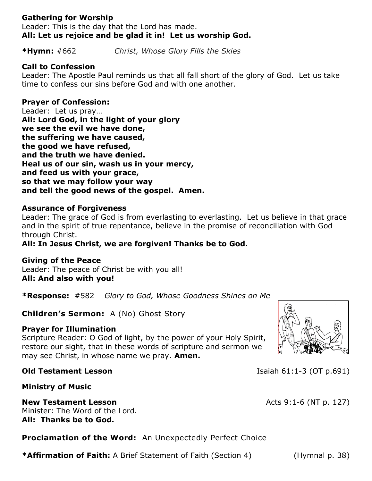#### **Gathering for Worship**

Leader: This is the day that the Lord has made. **All: Let us rejoice and be glad it in! Let us worship God.**

**\*Hymn:** #662 *Christ, Whose Glory Fills the Skies*

#### **Call to Confession**

Leader: The Apostle Paul reminds us that all fall short of the glory of God. Let us take time to confess our sins before God and with one another.

#### **Prayer of Confession:**

Leader: Let us pray… **All: Lord God, in the light of your glory we see the evil we have done, the suffering we have caused, the good we have refused, and the truth we have denied. Heal us of our sin, wash us in your mercy, and feed us with your grace, so that we may follow your way and tell the good news of the gospel. Amen.** 

#### **Assurance of Forgiveness**

Leader: The grace of God is from everlasting to everlasting. Let us believe in that grace and in the spirit of true repentance, believe in the promise of reconciliation with God through Christ.

#### **All: In Jesus Christ, we are forgiven! Thanks be to God.**

#### **Giving of the Peace**

Leader: The peace of Christ be with you all! **All: And also with you!**

**\*Response:** #582 *Glory to God, Whose Goodness Shines on Me*

**Children's Sermon:** A (No) Ghost Story

#### **Prayer for Illumination**

Scripture Reader: O God of light, by the power of your Holy Spirit, restore our sight, that in these words of scripture and sermon we may see Christ, in whose name we pray. **Amen.**

**Ministry of Music**

## **New Testament Lesson Acts 9:1-6 (NT p. 127)**

Minister: The Word of the Lord. **All: Thanks be to God.**

**Proclamation of the Word:** An Unexpectedly Perfect Choice

**\*Affirmation of Faith:** A Brief Statement of Faith (Section 4) (Hymnal p. 38)



**Old Testament Lesson Isaiah 61:1-3 (OT p.691)**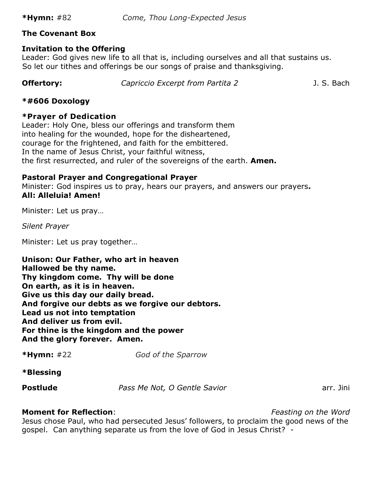#### **The Covenant Box**

#### **Invitation to the Offering**

Leader: God gives new life to all that is, including ourselves and all that sustains us. So let our tithes and offerings be our songs of praise and thanksgiving.

**Offertory:** Capriccio Excerpt from Partita 2 3. S. Bach

#### **\*#606 Doxology**

#### **\*Prayer of Dedication**

Leader: Holy One, bless our offerings and transform them into healing for the wounded, hope for the disheartened, courage for the frightened, and faith for the embittered. In the name of Jesus Christ, your faithful witness, the first resurrected, and ruler of the sovereigns of the earth. **Amen.**

#### **Pastoral Prayer and Congregational Prayer**

Minister: God inspires us to pray, hears our prayers, and answers our prayers**. All: Alleluia! Amen!**

Minister: Let us pray…

*Silent Prayer*

Minister: Let us pray together…

**Unison: Our Father, who art in heaven Hallowed be thy name. Thy kingdom come. Thy will be done On earth, as it is in heaven. Give us this day our daily bread. And forgive our debts as we forgive our debtors. Lead us not into temptation And deliver us from evil. For thine is the kingdom and the power And the glory forever. Amen.**

**\*Hymn:** #22 *God of the Sparrow*

**\*Blessing**

**Postlude** *Pass Me Not, O Gentle Savior Postlude Parr. Jini* 

#### **Moment for Reflection**: *Feasting on the Word*

Jesus chose Paul, who had persecuted Jesus' followers, to proclaim the good news of the gospel. Can anything separate us from the love of God in Jesus Christ? -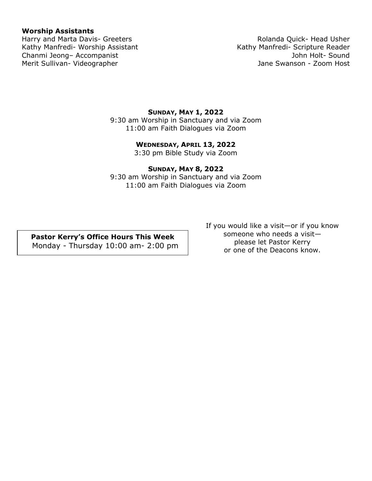#### **Worship Assistants**

Kathy Manfredi- Worship Assistant Kathy Manfredi- Scripture Reader Chanmi Jeong– Accompanist John Holt- Sound Merit Sullivan- Videographer Jane Swanson - Zoom Host

# Harry and Marta Davis- Greeters **Rolanda Quick- Head Usher** Rolanda Quick- Head Usher

#### **SUNDAY, MAY 1, 2022**

9:30 am Worship in Sanctuary and via Zoom 11:00 am Faith Dialogues via Zoom

#### **WEDNESDAY, APRIL 13, 2022**

3:30 pm Bible Study via Zoom

#### **SUNDAY, MAY 8, 2022**

9:30 am Worship in Sanctuary and via Zoom 11:00 am Faith Dialogues via Zoom

**Pastor Kerry's Office Hours This Week** Monday - Thursday 10:00 am- 2:00 pm If you would like a visit—or if you know someone who needs a visit please let Pastor Kerry or one of the Deacons know.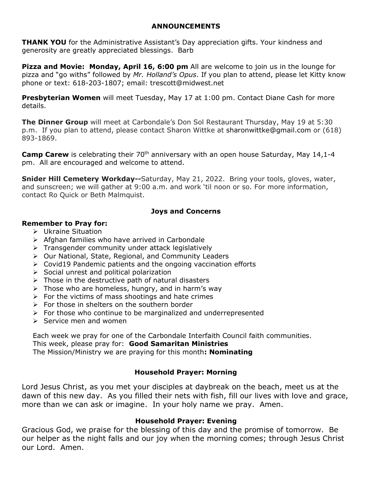#### **ANNOUNCEMENTS**

**THANK YOU** for the Administrative Assistant's Day appreciation gifts. Your kindness and generosity are greatly appreciated blessings. Barb

**Pizza and Movie: Monday, April 16, 6:00 pm** All are welcome to join us in the lounge for pizza and "go withs" followed by *Mr. Holland's Opus*. If you plan to attend, please let Kitty know phone or text: 618-203-1807; email: [trescott@midwest.net](mailto:trescott@midwest.net)

**Presbyterian Women** will meet Tuesday, May 17 at 1:00 pm. Contact Diane Cash for more details.

**The Dinner Group** will meet at Carbondale's Don Sol Restaurant Thursday, May 19 at 5:30 p.m. If you plan to attend, please contact Sharon Wittke at [sharonwittke@gmail.com](mailto:sharonwittke@gmail.com) or (618) 893-1869.

**Camp Carew** is celebrating their 70<sup>th</sup> anniversary with an open house Saturday, May 14,1-4 pm. All are encouraged and welcome to attend.

**Snider Hill Cemetery Workday--**Saturday, May 21, 2022. Bring your tools, gloves, water, and sunscreen; we will gather at 9:00 a.m. and work 'til noon or so. For more information, contact Ro Quick or Beth Malmquist.

#### **Joys and Concerns**

#### **Remember to Pray for:**

- $\triangleright$  Ukraine Situation
- $\triangleright$  Afghan families who have arrived in Carbondale
- $\triangleright$  Transgender community under attack legislatively
- Our National, State, Regional, and Community Leaders
- $\triangleright$  Covid19 Pandemic patients and the ongoing vaccination efforts
- $\triangleright$  Social unrest and political polarization
- $\triangleright$  Those in the destructive path of natural disasters
- $\triangleright$  Those who are homeless, hungry, and in harm's way
- $\triangleright$  For the victims of mass shootings and hate crimes
- $\triangleright$  For those in shelters on the southern border
- $\triangleright$  For those who continue to be marginalized and underrepresented
- $\triangleright$  Service men and women

Each week we pray for one of the Carbondale Interfaith Council faith communities. This week, please pray for: **Good Samaritan Ministries** The Mission/Ministry we are praying for this month**: Nominating**

#### **Household Prayer: Morning**

Lord Jesus Christ, as you met your disciples at daybreak on the beach, meet us at the dawn of this new day. As you filled their nets with fish, fill our lives with love and grace, more than we can ask or imagine. In your holy name we pray. Amen.

#### **Household Prayer: Evening**

Gracious God, we praise for the blessing of this day and the promise of tomorrow. Be our helper as the night falls and our joy when the morning comes; through Jesus Christ our Lord. Amen.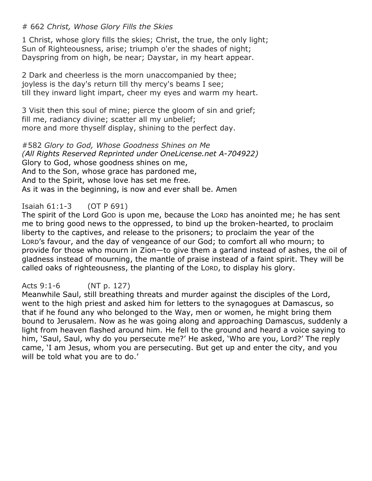#### # 662 *Christ, Whose Glory Fills the Skies*

1 Christ, whose glory fills the skies; Christ, the true, the only light; Sun of Righteousness, arise; triumph o'er the shades of night; Dayspring from on high, be near; Daystar, in my heart appear.

2 Dark and cheerless is the morn unaccompanied by thee; joyless is the day's return till thy mercy's beams I see; till they inward light impart, cheer my eyes and warm my heart.

3 Visit then this soul of mine; pierce the gloom of sin and grief; fill me, radiancy divine; scatter all my unbelief; more and more thyself display, shining to the perfect day.

#582 *Glory to God, Whose Goodness Shines on Me (All Rights Reserved Reprinted under OneLicense.net A-704922)* Glory to God, whose goodness shines on me, And to the Son, whose grace has pardoned me, And to the Spirit, whose love has set me free*.* As it was in the beginning, is now and ever shall be. Amen

## Isaiah 61:1-3 (OT P 691)

The spirit of the Lord GOD is upon me, because the LORD has anointed me; he has sent me to bring good news to the oppressed, to bind up the broken-hearted, to proclaim liberty to the captives, and release to the prisoners; to proclaim the year of the LORD's favour, and the day of vengeance of our God; to comfort all who mourn; to provide for those who mourn in Zion—to give them a garland instead of ashes, the oil of gladness instead of mourning, the mantle of praise instead of a faint spirit. They will be called oaks of righteousness, the planting of the LORD, to display his glory.

## Acts 9:1-6 (NT p. 127)

Meanwhile Saul, still breathing threats and murder against the disciples of the Lord, went to the high priest and asked him for letters to the synagogues at Damascus, so that if he found any who belonged to the Way, men or women, he might bring them bound to Jerusalem. Now as he was going along and approaching Damascus, suddenly a light from heaven flashed around him. He fell to the ground and heard a voice saying to him, 'Saul, Saul, why do you persecute me?' He asked, 'Who are you, Lord?' The reply came, 'I am Jesus, whom you are persecuting. But get up and enter the city, and you will be told what you are to do.'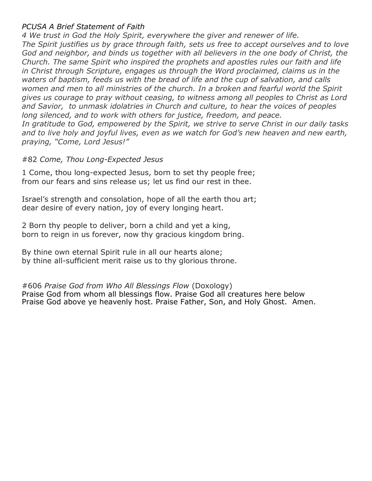#### *PCUSA A Brief Statement of Faith*

*4 We trust in God the Holy Spirit, everywhere the giver and renewer of life. The Spirit justifies us by grace through faith, sets us free to accept ourselves and to love God and neighbor, and binds us together with all believers in the one body of Christ, the Church. The same Spirit who inspired the prophets and apostles rules our faith and life in Christ through Scripture, engages us through the Word proclaimed, claims us in the waters of baptism, feeds us with the bread of life and the cup of salvation, and calls women and men to all ministries of the church. In a broken and fearful world the Spirit gives us courage to pray without ceasing, to witness among all peoples to Christ as Lord and Savior, to unmask idolatries in Church and culture, to hear the voices of peoples long silenced, and to work with others for justice, freedom, and peace. In gratitude to God, empowered by the Spirit, we strive to serve Christ in our daily tasks and to live holy and joyful lives, even as we watch for God's new heaven and new earth, praying, "Come, Lord Jesus!"*

#### #82 *Come, Thou Long-Expected Jesus*

1 Come, thou long-expected Jesus, born to set thy people free; from our fears and sins release us; let us find our rest in thee.

Israel's strength and consolation, hope of all the earth thou art; dear desire of every nation, joy of every longing heart.

2 Born thy people to deliver, born a child and yet a king, born to reign in us forever, now thy gracious kingdom bring.

By thine own eternal Spirit rule in all our hearts alone; by thine all-sufficient merit raise us to thy glorious throne.

#606 *Praise God from Who All Blessings Flow* (Doxology) Praise God from whom all blessings flow. Praise God all creatures here below Praise God above ye heavenly host. Praise Father, Son, and Holy Ghost. Amen.